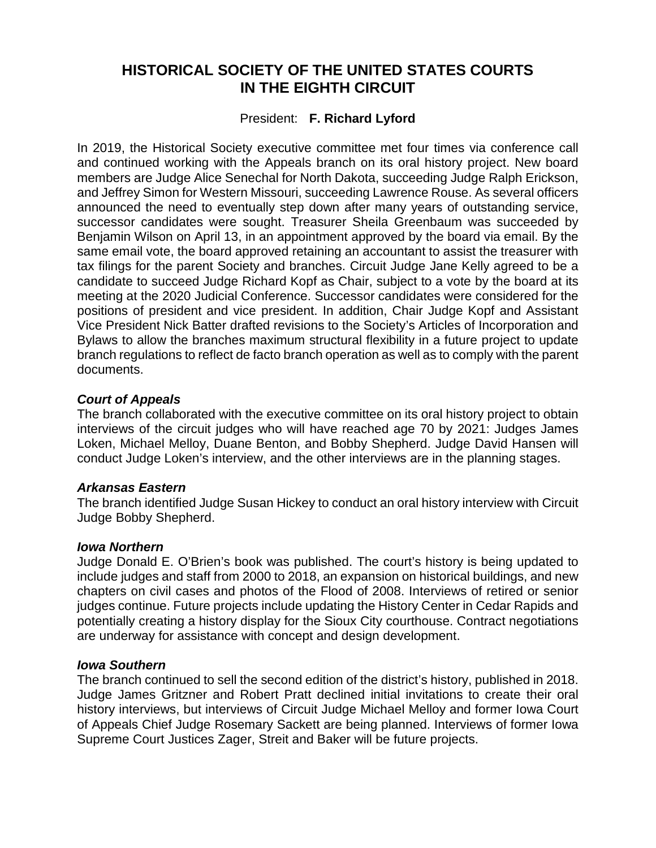# **HISTORICAL SOCIETY OF THE UNITED STATES COURTS IN THE EIGHTH CIRCUIT**

# President: **F. Richard Lyford**

In 2019, the Historical Society executive committee met four times via conference call and continued working with the Appeals branch on its oral history project. New board members are Judge Alice Senechal for North Dakota, succeeding Judge Ralph Erickson, and Jeffrey Simon for Western Missouri, succeeding Lawrence Rouse. As several officers announced the need to eventually step down after many years of outstanding service, successor candidates were sought. Treasurer Sheila Greenbaum was succeeded by Benjamin Wilson on April 13, in an appointment approved by the board via email. By the same email vote, the board approved retaining an accountant to assist the treasurer with tax filings for the parent Society and branches. Circuit Judge Jane Kelly agreed to be a candidate to succeed Judge Richard Kopf as Chair, subject to a vote by the board at its meeting at the 2020 Judicial Conference. Successor candidates were considered for the positions of president and vice president. In addition, Chair Judge Kopf and Assistant Vice President Nick Batter drafted revisions to the Society's Articles of Incorporation and Bylaws to allow the branches maximum structural flexibility in a future project to update branch regulations to reflect de facto branch operation as well as to comply with the parent documents.

# *Court of Appeals*

The branch collaborated with the executive committee on its oral history project to obtain interviews of the circuit judges who will have reached age 70 by 2021: Judges James Loken, Michael Melloy, Duane Benton, and Bobby Shepherd. Judge David Hansen will conduct Judge Loken's interview, and the other interviews are in the planning stages.

# *Arkansas Eastern*

The branch identified Judge Susan Hickey to conduct an oral history interview with Circuit Judge Bobby Shepherd.

# *Iowa Northern*

Judge Donald E. O'Brien's book was published. The court's history is being updated to include judges and staff from 2000 to 2018, an expansion on historical buildings, and new chapters on civil cases and photos of the Flood of 2008. Interviews of retired or senior judges continue. Future projects include updating the History Center in Cedar Rapids and potentially creating a history display for the Sioux City courthouse. Contract negotiations are underway for assistance with concept and design development.

# *Iowa Southern*

The branch continued to sell the second edition of the district's history, published in 2018. Judge James Gritzner and Robert Pratt declined initial invitations to create their oral history interviews, but interviews of Circuit Judge Michael Melloy and former Iowa Court of Appeals Chief Judge Rosemary Sackett are being planned. Interviews of former Iowa Supreme Court Justices Zager, Streit and Baker will be future projects.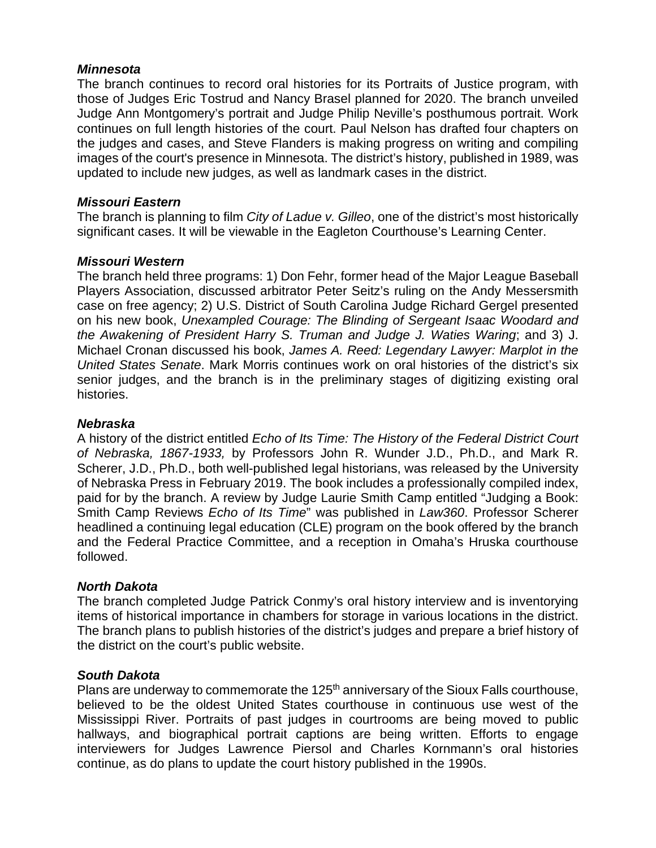# *Minnesota*

The branch continues to record oral histories for its Portraits of Justice program, with those of Judges Eric Tostrud and Nancy Brasel planned for 2020. The branch unveiled Judge Ann Montgomery's portrait and Judge Philip Neville's posthumous portrait. Work continues on full length histories of the court. Paul Nelson has drafted four chapters on the judges and cases, and Steve Flanders is making progress on writing and compiling images of the court's presence in Minnesota. The district's history, published in 1989, was updated to include new judges, as well as landmark cases in the district.

# *Missouri Eastern*

The branch is planning to film *City of Ladue v. Gilleo*, one of the district's most historically significant cases. It will be viewable in the Eagleton Courthouse's Learning Center.

# *Missouri Western*

The branch held three programs: 1) Don Fehr, former head of the Major League Baseball Players Association, discussed arbitrator Peter Seitz's ruling on the Andy Messersmith case on free agency; 2) U.S. District of South Carolina Judge Richard Gergel presented on his new book, *Unexampled Courage: The Blinding of Sergeant Isaac Woodard and the Awakening of President Harry S. Truman and Judge J. Waties Waring*; and 3) J. Michael Cronan discussed his book, *James A. Reed: Legendary Lawyer: Marplot in the United States Senate*. Mark Morris continues work on oral histories of the district's six senior judges, and the branch is in the preliminary stages of digitizing existing oral histories.

# *Nebraska*

A history of the district entitled *Echo of Its Time: The History of the Federal District Court of Nebraska, 1867-1933,* by Professors John R. Wunder J.D., Ph.D., and Mark R. Scherer, J.D., Ph.D., both well-published legal historians, was released by the University of Nebraska Press in February 2019. The book includes a professionally compiled index, paid for by the branch. A review by Judge Laurie Smith Camp entitled "Judging a Book: Smith Camp Reviews *Echo of Its Time*" was published in *Law360*. Professor Scherer headlined a continuing legal education (CLE) program on the book offered by the branch and the Federal Practice Committee, and a reception in Omaha's Hruska courthouse followed.

# *North Dakota*

The branch completed Judge Patrick Conmy's oral history interview and is inventorying items of historical importance in chambers for storage in various locations in the district. The branch plans to publish histories of the district's judges and prepare a brief history of the district on the court's public website.

# *South Dakota*

Plans are underway to commemorate the 125<sup>th</sup> anniversary of the Sioux Falls courthouse, believed to be the oldest United States courthouse in continuous use west of the Mississippi River. Portraits of past judges in courtrooms are being moved to public hallways, and biographical portrait captions are being written. Efforts to engage interviewers for Judges Lawrence Piersol and Charles Kornmann's oral histories continue, as do plans to update the court history published in the 1990s.